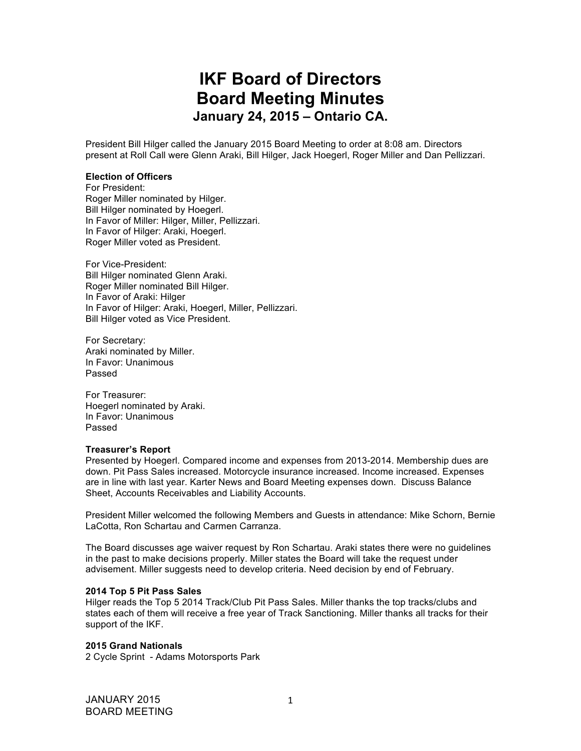# **IKF Board of Directors Board Meeting Minutes January 24, 2015 – Ontario CA.**

President Bill Hilger called the January 2015 Board Meeting to order at 8:08 am. Directors present at Roll Call were Glenn Araki, Bill Hilger, Jack Hoegerl, Roger Miller and Dan Pellizzari.

## **Election of Officers**

For President: Roger Miller nominated by Hilger. Bill Hilger nominated by Hoegerl. In Favor of Miller: Hilger, Miller, Pellizzari. In Favor of Hilger: Araki, Hoegerl. Roger Miller voted as President.

For Vice-President: Bill Hilger nominated Glenn Araki. Roger Miller nominated Bill Hilger. In Favor of Araki: Hilger In Favor of Hilger: Araki, Hoegerl, Miller, Pellizzari. Bill Hilger voted as Vice President.

For Secretary: Araki nominated by Miller. In Favor: Unanimous Passed

For Treasurer: Hoegerl nominated by Araki. In Favor: Unanimous Passed

#### **Treasurer's Report**

Presented by Hoegerl. Compared income and expenses from 2013-2014. Membership dues are down. Pit Pass Sales increased. Motorcycle insurance increased. Income increased. Expenses are in line with last year. Karter News and Board Meeting expenses down. Discuss Balance Sheet, Accounts Receivables and Liability Accounts.

President Miller welcomed the following Members and Guests in attendance: Mike Schorn, Bernie LaCotta, Ron Schartau and Carmen Carranza.

The Board discusses age waiver request by Ron Schartau. Araki states there were no guidelines in the past to make decisions properly. Miller states the Board will take the request under advisement. Miller suggests need to develop criteria. Need decision by end of February.

#### **2014 Top 5 Pit Pass Sales**

Hilger reads the Top 5 2014 Track/Club Pit Pass Sales. Miller thanks the top tracks/clubs and states each of them will receive a free year of Track Sanctioning. Miller thanks all tracks for their support of the IKF.

# **2015 Grand Nationals**

2 Cycle Sprint - Adams Motorsports Park

JANUARY 2015 BOARD MEETING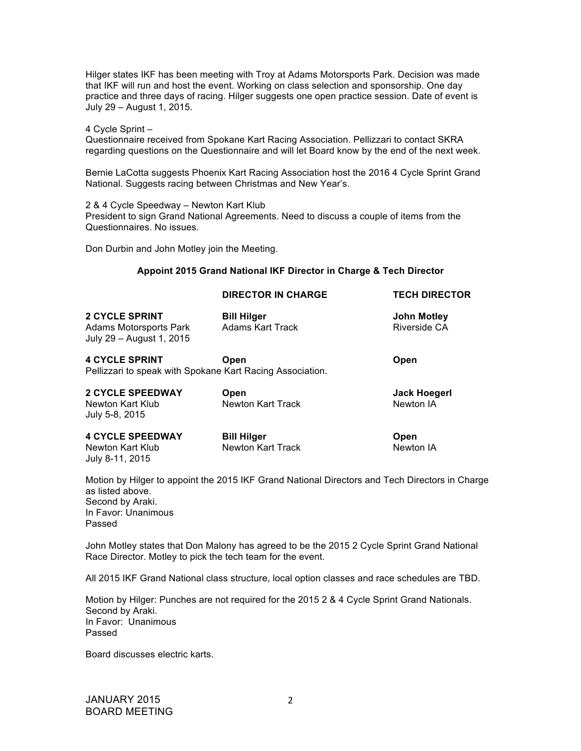Hilger states IKF has been meeting with Troy at Adams Motorsports Park. Decision was made that IKF will run and host the event. Working on class selection and sponsorship. One day practice and three days of racing. Hilger suggests one open practice session. Date of event is July 29 – August 1, 2015.

## 4 Cycle Sprint –

Questionnaire received from Spokane Kart Racing Association. Pellizzari to contact SKRA regarding questions on the Questionnaire and will let Board know by the end of the next week.

Bernie LaCotta suggests Phoenix Kart Racing Association host the 2016 4 Cycle Sprint Grand National. Suggests racing between Christmas and New Year's.

2 & 4 Cycle Speedway – Newton Kart Klub

President to sign Grand National Agreements. Need to discuss a couple of items from the Questionnaires. No issues.

Don Durbin and John Motley join the Meeting.

# **Appoint 2015 Grand National IKF Director in Charge & Tech Director**

|                                                                             | <b>DIRECTOR IN CHARGE</b>                                         | <b>TECH DIRECTOR</b>               |
|-----------------------------------------------------------------------------|-------------------------------------------------------------------|------------------------------------|
| <b>2 CYCLE SPRINT</b><br>Adams Motorsports Park<br>July 29 - August 1, 2015 | <b>Bill Hilger</b><br><b>Adams Kart Track</b>                     | <b>John Motley</b><br>Riverside CA |
| <b>4 CYCLE SPRINT</b>                                                       | Open<br>Pellizzari to speak with Spokane Kart Racing Association. | Open                               |
| <b>2 CYCLE SPEEDWAY</b><br>Newton Kart Klub<br>July 5-8, 2015               | Open<br>Newton Kart Track                                         | Jack Hoegerl<br>Newton IA          |
| <b>4 CYCLE SPEEDWAY</b>                                                     | <b>Bill Hilger</b>                                                | Open                               |

Newton Kart Klub Newton Kart Track Newton IA July 8-11, 2015

Motion by Hilger to appoint the 2015 IKF Grand National Directors and Tech Directors in Charge as listed above. Second by Araki. In Favor: Unanimous Passed

John Motley states that Don Malony has agreed to be the 2015 2 Cycle Sprint Grand National Race Director. Motley to pick the tech team for the event.

All 2015 IKF Grand National class structure, local option classes and race schedules are TBD.

Motion by Hilger: Punches are not required for the 2015 2 & 4 Cycle Sprint Grand Nationals. Second by Araki. In Favor: Unanimous Passed

Board discusses electric karts.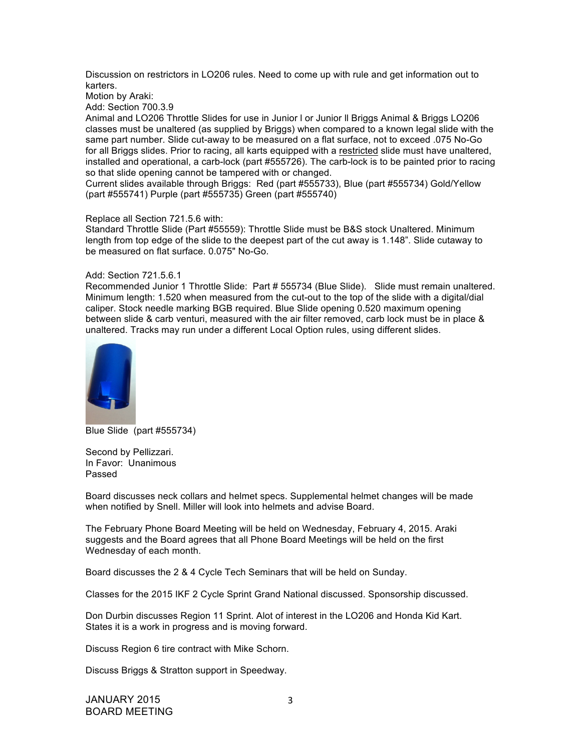Discussion on restrictors in LO206 rules. Need to come up with rule and get information out to karters.

Motion by Araki:

Add: Section 700.3.9

Animal and LO206 Throttle Slides for use in Junior l or Junior ll Briggs Animal & Briggs LO206 classes must be unaltered (as supplied by Briggs) when compared to a known legal slide with the same part number. Slide cut-away to be measured on a flat surface, not to exceed .075 No-Go for all Briggs slides. Prior to racing, all karts equipped with a restricted slide must have unaltered, installed and operational, a carb-lock (part #555726). The carb-lock is to be painted prior to racing so that slide opening cannot be tampered with or changed.

Current slides available through Briggs: Red (part #555733), Blue (part #555734) Gold/Yellow (part #555741) Purple (part #555735) Green (part #555740)

## Replace all Section 721.5.6 with:

Standard Throttle Slide (Part #55559): Throttle Slide must be B&S stock Unaltered. Minimum length from top edge of the slide to the deepest part of the cut away is 1.148". Slide cutaway to be measured on flat surface. 0.075" No-Go.

## Add: Section 721.5.6.1

Recommended Junior 1 Throttle Slide: Part # 555734 (Blue Slide). Slide must remain unaltered. Minimum length: 1.520 when measured from the cut-out to the top of the slide with a digital/dial caliper. Stock needle marking BGB required. Blue Slide opening 0.520 maximum opening between slide & carb venturi, measured with the air filter removed, carb lock must be in place & unaltered. Tracks may run under a different Local Option rules, using different slides.



Blue Slide (part #555734)

Second by Pellizzari. In Favor: Unanimous Passed

Board discusses neck collars and helmet specs. Supplemental helmet changes will be made when notified by Snell. Miller will look into helmets and advise Board.

The February Phone Board Meeting will be held on Wednesday, February 4, 2015. Araki suggests and the Board agrees that all Phone Board Meetings will be held on the first Wednesday of each month.

Board discusses the 2 & 4 Cycle Tech Seminars that will be held on Sunday.

Classes for the 2015 IKF 2 Cycle Sprint Grand National discussed. Sponsorship discussed.

Don Durbin discusses Region 11 Sprint. Alot of interest in the LO206 and Honda Kid Kart. States it is a work in progress and is moving forward.

Discuss Region 6 tire contract with Mike Schorn.

Discuss Briggs & Stratton support in Speedway.